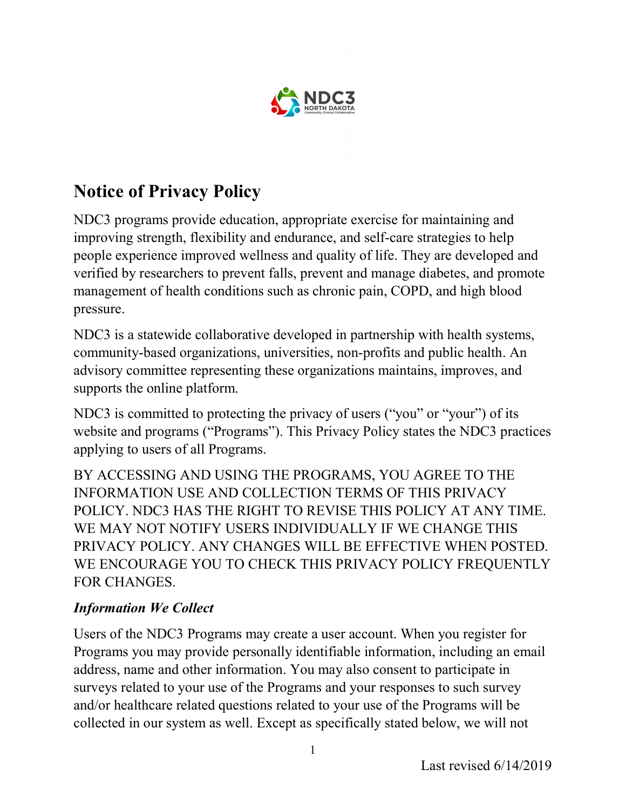

# Notice of Privacy Policy

NDC3 programs provide education, appropriate exercise for maintaining and improving strength, flexibility and endurance, and self-care strategies to help people experience improved wellness and quality of life. They are developed and verified by researchers to prevent falls, prevent and manage diabetes, and promote management of health conditions such as chronic pain, COPD, and high blood pressure.

NDC3 is a statewide collaborative developed in partnership with health systems, community-based organizations, universities, non-profits and public health. An advisory committee representing these organizations maintains, improves, and supports the online platform.

NDC3 is committed to protecting the privacy of users ("you" or "your") of its website and programs ("Programs"). This Privacy Policy states the NDC3 practices applying to users of all Programs.

BY ACCESSING AND USING THE PROGRAMS, YOU AGREE TO THE INFORMATION USE AND COLLECTION TERMS OF THIS PRIVACY POLICY. NDC3 HAS THE RIGHT TO REVISE THIS POLICY AT ANY TIME. WE MAY NOT NOTIFY USERS INDIVIDUALLY IF WE CHANGE THIS PRIVACY POLICY. ANY CHANGES WILL BE EFFECTIVE WHEN POSTED. WE ENCOURAGE YOU TO CHECK THIS PRIVACY POLICY FREQUENTLY FOR CHANGES.

# Information We Collect

Users of the NDC3 Programs may create a user account. When you register for Programs you may provide personally identifiable information, including an email address, name and other information. You may also consent to participate in surveys related to your use of the Programs and your responses to such survey and/or healthcare related questions related to your use of the Programs will be collected in our system as well. Except as specifically stated below, we will not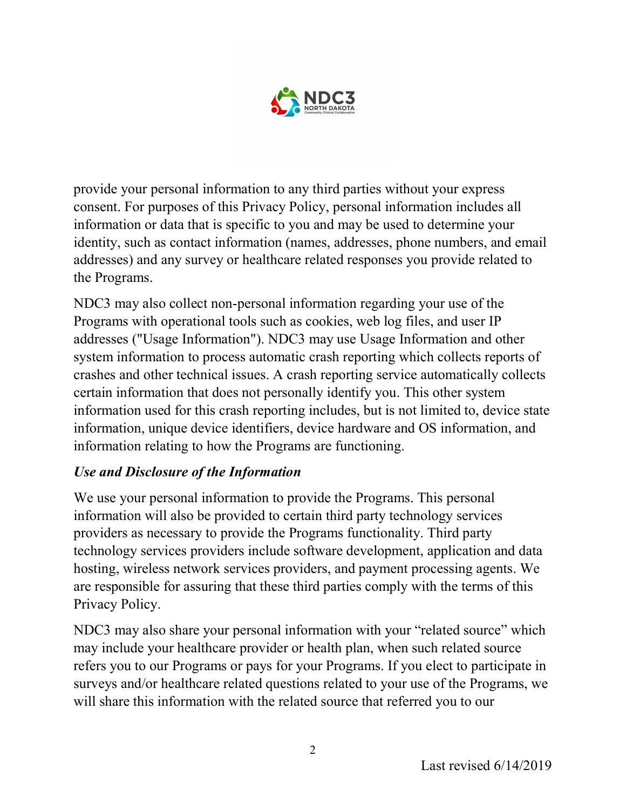

provide your personal information to any third parties without your express consent. For purposes of this Privacy Policy, personal information includes all information or data that is specific to you and may be used to determine your identity, such as contact information (names, addresses, phone numbers, and email addresses) and any survey or healthcare related responses you provide related to the Programs.

NDC3 may also collect non-personal information regarding your use of the Programs with operational tools such as cookies, web log files, and user IP addresses ("Usage Information"). NDC3 may use Usage Information and other system information to process automatic crash reporting which collects reports of crashes and other technical issues. A crash reporting service automatically collects certain information that does not personally identify you. This other system information used for this crash reporting includes, but is not limited to, device state information, unique device identifiers, device hardware and OS information, and information relating to how the Programs are functioning.

### Use and Disclosure of the Information

We use your personal information to provide the Programs. This personal information will also be provided to certain third party technology services providers as necessary to provide the Programs functionality. Third party technology services providers include software development, application and data hosting, wireless network services providers, and payment processing agents. We are responsible for assuring that these third parties comply with the terms of this Privacy Policy.

NDC3 may also share your personal information with your "related source" which may include your healthcare provider or health plan, when such related source refers you to our Programs or pays for your Programs. If you elect to participate in surveys and/or healthcare related questions related to your use of the Programs, we will share this information with the related source that referred you to our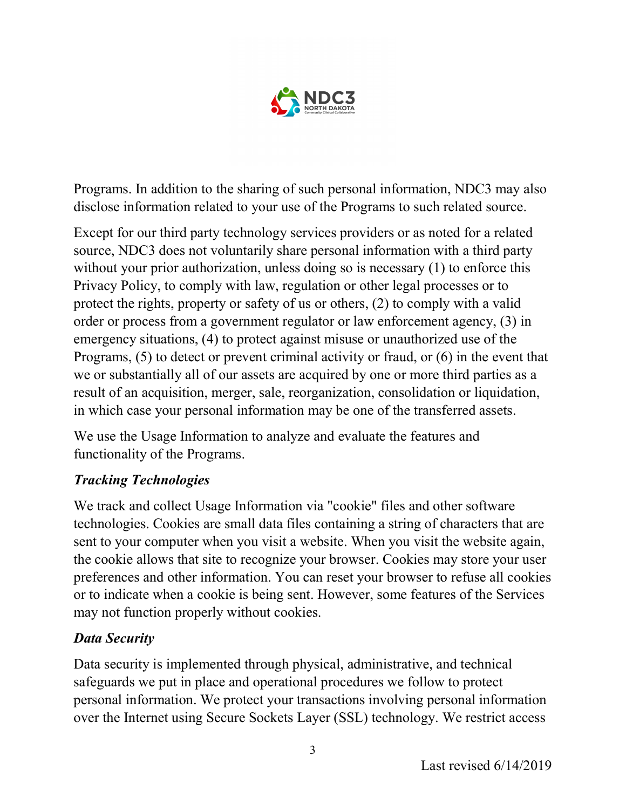

Programs. In addition to the sharing of such personal information, NDC3 may also disclose information related to your use of the Programs to such related source.

Except for our third party technology services providers or as noted for a related source, NDC3 does not voluntarily share personal information with a third party without your prior authorization, unless doing so is necessary (1) to enforce this Privacy Policy, to comply with law, regulation or other legal processes or to protect the rights, property or safety of us or others, (2) to comply with a valid order or process from a government regulator or law enforcement agency, (3) in emergency situations, (4) to protect against misuse or unauthorized use of the Programs, (5) to detect or prevent criminal activity or fraud, or (6) in the event that we or substantially all of our assets are acquired by one or more third parties as a result of an acquisition, merger, sale, reorganization, consolidation or liquidation, in which case your personal information may be one of the transferred assets.

We use the Usage Information to analyze and evaluate the features and functionality of the Programs.

# Tracking Technologies

We track and collect Usage Information via "cookie" files and other software technologies. Cookies are small data files containing a string of characters that are sent to your computer when you visit a website. When you visit the website again, the cookie allows that site to recognize your browser. Cookies may store your user preferences and other information. You can reset your browser to refuse all cookies or to indicate when a cookie is being sent. However, some features of the Services may not function properly without cookies.

### Data Security

Data security is implemented through physical, administrative, and technical safeguards we put in place and operational procedures we follow to protect personal information. We protect your transactions involving personal information over the Internet using Secure Sockets Layer (SSL) technology. We restrict access